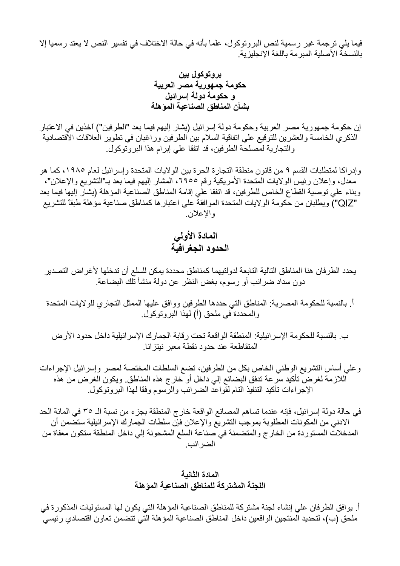فيما يلي ترجمة غير رسمية لنص البروتوكول، علما بأنه في حالة الاختلاف في تفسير النص لا يعتد رسميا إلا بالنسخة الأصلية المبرمة باللغة الإنجليزية

بروتوكول بين حكومة جمهورية مصر العربية و حكومة دولة إسرائيل بشأن المناطق الصناعية المؤهلة

إن حكومة جمهورية مصر العربية وحكومة دولة إسرائيل (يشار إليهم فيما بعد "الطرفين") اخذين في الاعتبار الذكري الخامسة والعشرين للتوقيع على اتفاقية السلام بين الطرفين وراغبان في تطوير العلاقات الاقتصادية والتجارية لمصلحة الطرفين، قد اتفقا على إبرام هذا البروتوكول.

وإدراكا لمتطلبات القسم ٩ من قانون منطقة التجارة الحرة بين الولايات المتحدة وإسرائيل لعام ١٩٨٥، كما هو معدل، وإعلان رئيس الولايات المتحدة الأمريكية رقم ٦٩٥٥، المشار إليهم فيما بعد بـ"التشريع والإعلان"، وبناء على توصية القطاع الخاص للطرفين، قد اتفقا على إقامة المناطق الصناعية المؤهلة (يشار إليها فيما بعد "Q|Z") ويطلبان من حكومة الولايات المتحدة الموافقة على اعتبار ها كمناطق صناعية مؤهلة طبقاً للتشريع والإعلان

المادة الأولى الحدود الجغر افيّة

يحدد الطر فان هنا المناطق التالية التابعة لدو لتيهما كمناطق محددة يمكن للسلع أن تدخلها لأغر اض التصدير دون سداد ضرائب أو رسوم، بغض النظر عن دولة منشأ تلك البضاعة.

أ. بالنسبة للحكومة المصرية: المناطق التي حددها الطرفين ووافق عليها الممثل التجاري للولايات المتحدة و المحددة في ملحق (أ) لهذا البر و تو كو ل.

ب. بالنسبة للحكومة الإسر ائيلية: المنطقة الواقعة تحت رقابة الجمارك الإسر ائيلية داخل حدود الأرض المتقاطعة عند حدود نقطة معبر نبتز انا.

وعلى أساس التشريع الوطني الخاص بكل من الطرفين، تضع السلطات المختصة لمصر وإسرائيل الإجراءات اللازمة لغرض تأكيد سرعة تدفق البضائع إلى داخل أو خارج هذه المناطق ويكون الغرض من هذه الإجراءات تأكيد التنفيذ التام لقواعد الضرائب والرسوم وفقا لهذا البروتوكول.

في حالة دولة إسرائيل، فإنه عندما تساهم المصانع الواقعة خارج المنطقة بجزء من نسبة الـ ٣٥ في المائة الحد الادني من المكونات المطلوبة بموجب التشريع والإعلان فإن سلطات الجمارك الإسرائيلية ستضمن أن المدخلات المستوردة من الخارج والمتضمنة في صناعة السلع المشحونة إلى داخل المنطقة ستكون معفاة من الضر ائب.

## المادة الثانية اللجنة المشتركة للمناطق الصناعية المؤهلة

أ. يوافق الطرفان على إنشاء لجنة مشتركة للمناطق الصناعية المؤهلة التي يكون لها المسئوليات المذكورة في ملحق (ب)، لتحديد المنتجين الواقعين داخل المناطق الصناعية المؤهلة التي تتضمن تعاون اقتصادي رئيسي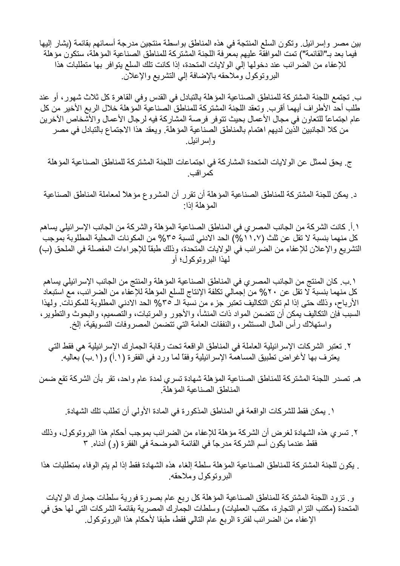بين مصر وإسرائيل. وتكون السلع المنتجة في هذه المناطق بواسطة منتجين مدرجة أسمائهم بقائمة (بشار إليها فيما بعد بـ"القائمة") تمت الموافقة عليهم بمعرفة اللجنة المشتركة للمناطق الصناعية المؤهلة، ستكون مؤهلة للإعفاء من الضرائب عند دخولها إلى الولايات المتحدة، إذا كانت تلك السلع يتوافر بها متطلبات هذا البروتوكول وملاحقه بالإضافة إلى التشريع والإعلان

ب. تجتمع اللجنة المشتركة للمناطق الصناعية المؤهلة بالتبادل في القدس وفي القاهرة كل ثلاث شهور ، أو عند طلب أحدَّ الأطر اف أيهما أقرب. وتعقد اللجنة المشتركة للمناطق الصناعية المؤهلة خلال الربع الأخير من كل عام اجتماعاً للتعاون في مجال الأعمال بحيث تتوفر فرصة المشاركة فيه لرجال الأعمال والأشخاص الآخرين من كلا الجانبين الذين لديهم اهتمام بالمناطق الصناعية المؤهلة. ويعقد هذا الاجتماع بالتبادل في مصر و اِسر ائبل.

ج. يحق لممثل عن الولايات المتحدة المشاركة في اجتماعات اللجنة المشتركة للمناطق الصناعية المؤهلة كمر اقب ِ

د. يمكن للجنة المشتركة للمناطق الصناعية المؤهلة أن تقرر أن المشروع مؤهلاً لمعاملة المناطق الصناعية المؤ هلة إذا:

١ أ. كانت الشر كة من الجانب المصر ي في المناطق الصناعية المؤ هلة و الشر كة من الجانب الإسر ائيلي يساهم كل منهما بنسبة لا تقل عن ثلث (١١,٧ ٥/٥) الحد الادني لنسبة ٣٥% من المكونات المحلية المطلوبة بموجب ُ التشريع والإعلان للإعفاء من الضِّرائب في الولايات المُتحدة، وذلك طبقًا للإجراءات المفصلة في الملحق (ب) لهذا البر و تو کو ل؛ أو

١ .ب. كان المنتج من الجانب المصري في المناطق الصناعية المؤهلة والمنتج من الجانب الإسرائيلي يساهم كل منهما بنسبة لا تقل عن ٢٠% من إجمالي تكلفة الإنتاج للسلع المؤهلة للإعفاء من الضررائب، مع استبعاد الأرباح، وذلك حتى إذا لم تكن التكاليف تعتبر ۖ جزء من نسبة الـ ٢٥% الحد الادنى المطلوبة للمكونات. ولهذا السبب فإن التكاليف بمكن أن تتضمن المواد ذات المنشأ، والأجور والمرتبات، والتَّصميم، والبحوث والتطوير ، واستهلاك رأس المال المستثمر، والنفقات العامة التي تتضمن المصروفات التسويقية، إلخ

- ٢. تعتبر الشركات الإسرائيلية العاملة في المناطق الواقعة تحت رقابة الجمارك الإسرائيلية هي فقط التي يعترف بها لأغراض تطبيق المساهمة الإسرائيلية وفقًا لما ورد في الفقرة (١.١) و(١.ب) بعاليه.
- هـ. تصدر اللجنة المشتركة للمناطق الصناعية المؤهلة شهادة تسرى لمدة عام واحد، تقر بأن الشركة تقع ضمن المناطق الصناعية المؤ هلة

١ . يمكن فقط للشركات الواقعة في المناطق المذكورة في المادة الأولى أن تطلب تلك الشهادة.

٢. تسر ي هذه الشهادة لغر ض أن الشر كة مؤ هلة للإعفاء من الضر ائب بموجب أحكام هذا البر و توكو ل، وذلك فقط عندما يكون أسم الشركة مدرجاً في القائمة الموضحة في الفقرة (و) أدناه. ٣

. يكون للجنة المشتركة للمناطق الصناعية المؤهلة سلطة إلغاء هذه الشهادة فقط إذا لم يتم الوفاء بمتطلبات هذا البر وتوكول وملاحقه.

وٍ. تزود اللجنة المشتركة للمناطق الصناعية المؤهلة كل ربع عام بصورة فورية سلطات جمارك الولايات المتحدة (مكتب التزام التجارة، مكتب العمليات) وسلطات الجمارك المصرية بقائمة الشركات التي لها حق في الإعفاء من الضرائب لفترة الربع عام التالي فقط، طبقا لأحكام هذا البروتوكول.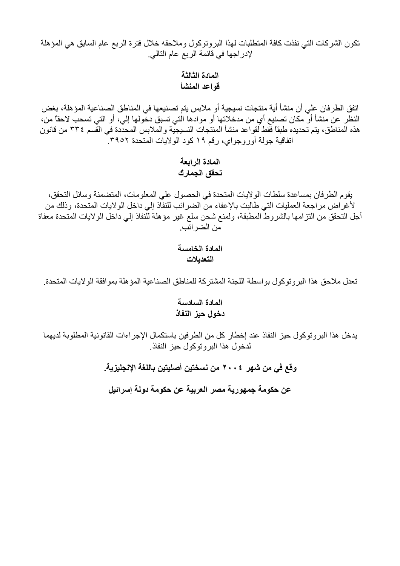تكون الشركات التي نفذت كافة المتطلبات لهذا البروتوكول وملاحقه خلال فترة الربع عام السابق هي المؤهلة لإدر اجها في قائمة الربع عام التالي.

## المادة الثالثة قواعد المنشأ

اتفق الطرفان على أن منشأ أية منتجات نسيجية أو ملابس يتم تصنيعها في المناطق الصناعية المؤهلة، بغض النظر عن منشأ أو مكان تصنيع أي من مدخلاتها أو موادها الَّتي تسبق دخُّولها إلى، أو التي تسحب لاحقًا من، هذه المناطق، يتم تحديده طبقًا فَقط لقواعد منشأ المنتجات النسيجية والملابس المحدِّدة في القَّسم ٣٣٤ من قانون اتفاقية جولة أوروجواي، رقم ١٩ كود الولايات المتحدة ٣٩٥٢.

## المادة الرابعة تحقق الجمارك

يقوم الطرفان بمساعدة سلطات الولايات المتحدة في الحصول على المعلومات، المتضمنة وسائل التحقق، لأغراض مراجعة العمليات التي طالبت بالإعفاء من الضرائب للنفاذ إلى داخل الولايات المتحدة، وذلك من أجل التحقق من النزرامها بالشروط المطبقة، ولمنع شحن سلع غير مؤهلة للُّنفاذ إلى داخل الولايات المتحدة معفاة من الضر ائب.

> المادة الخامسة التعديلات

تعدل ملاحق هذا البر و توكو ل بو اسطة اللجنة المشتر كة للمناطق الصناعية المؤ هلة بمو افقة الو لايات المتحدة.

## المادة السادسة دخول حيز النفاذ

يدخل هذا البروتوكول حيز النفاذ عند إخطار كل من الطرفين باستكمال الإجراءات القانونية المطلوبة لديهما لدخول هذا البر وتوكول حبز النفاذ.

وقع في من شهر ٢٠٠٤ من نسختين أصليتين باللغة الإنجليزية.

عن حكومة جمهورية مصر العربية عن حكومة دولة إسرائيل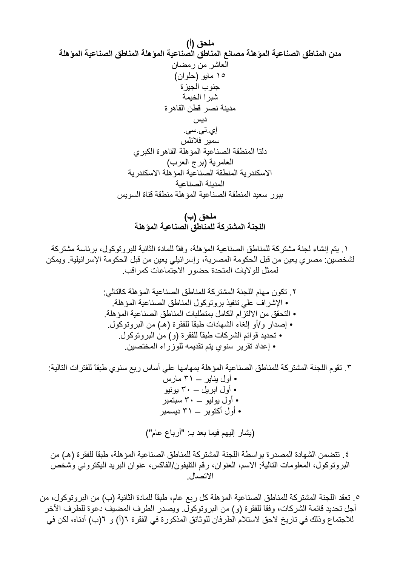ملحق (ب) اللجنة المشتركة للمناطق الصناعية الموهلة

١. يتم إنشاء لجنة مشتر كة للمناطق الصناعية المؤهلة، وفقًا للمادة الثانية للبر وتوكول، بر ئاسة مشتر كة لشخصين: مصري يعين من قبل الحكومة المصرية، وإسرائيلي يعين من قبل الحكومة الإسرائيلية. ويمكن لممثل للو لإبات المتحدة حضور الإجتماعات كمر اقب.

٣. تقوم اللجنة المشتركة للمناطق الصناعية المؤهلة بمهامها على أساس ربع سنوى طبقًا للفترات التالية: • أول بناير ــ ٣١ مارس • أوَّل ابرَيْل – ٣٠ يونيو • أول يوليو ــــ ٣٠ سبتمبر • أول أكتوبر \_ ٣١ ديسمبر (بِشَارِ إلْيهِم فِيما بِعد بِ "أَرباع عام")

٤. تتضمن الشهادة المصدر ة بو اسطة اللجنة المشتر كة للمناطق الصناعية المؤ هلة، طبقًا للفقر ة (هـ) من البرونوكول، المعلومات التالية: الاسم، العنوان، رقم التليفون/الفاكس، عنوان البريد اليكتروني وشخص الاتصال

٥ ـ تعقد اللجنة المشتركة للمناطق الصناعية المؤهلة كل ربع عام، طبقًا للمادة الثانية (ب) من البروتوكول، من أجل تحديد قائمة الشركات، وفقًّا للفقرة (و) من البروتوكول. ويصدر الطرف المضيف دعوة للطرف الأخر للاجتماع وذلك في تاريخ لاحق لاستلام الطرفان للوثائق المذكورة في الفقرة ٦(أ) و ٦(ب) أدناه، لكن في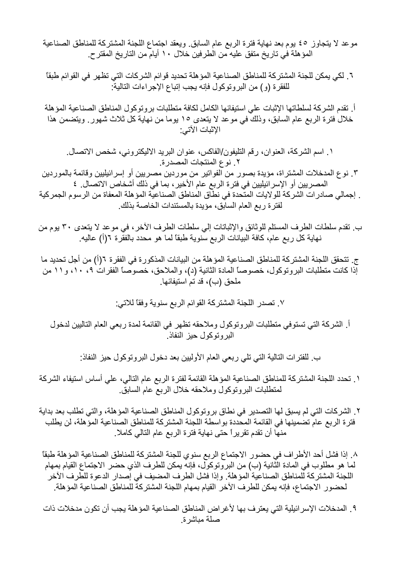موعد لا يتجاوز ٤٥ يوم بعد نهاية فترة الربع عام السابق. ويعقد اجتماع اللجنة المشتركة للمناطق الصناعية المؤ هلة في تاريخ متفق عليه من الطرفين خلال ١٠ أيام من التاريخ المقتر ح.

٦. لكي يمكن للجنة المشتركة للمناطق الصناعية المؤهلة تحديد قوائم الشركات التي تظهر في القوائم طبقاً للفقرة (و) من البروتوكول فإنه يجب إتباع الإجراءات التالية:

أ. تقدم الشركة لسلطاتها الإثبات على استيفائها الكامل لكافة متطلبات بروتوكول المناطق الصناعية المؤهلة خلالٌ فترة الربع عام السابق، وذلكٌ في موعد لا يتعدى ١٥ يوما من نهاية كل ثلاث شهورٍ. ويتضمن هذا الإثبات الآتي:

١. اسم الشركة، العنوان، رقم التليفون/الفاكس، عنوان البريد الاليكتروني، شخص الاتصال. ٢. نوع المنتجات المصدرة.

٣. نوع المدخلات المشتراة، مؤيدة بصور من الفواتير من موردين مصريين أو إسرائيليين وقائمة بالموردين المصر بين أو الإسر ائيليين في فتر ة الربع عام الأخير ، بما في ذلك أشخاص الاتصال. ٤

. إجمالي صادرات الشركة للولايات المتحدة في نطاق المناطق الصناعية المؤهلة المعفاة من الرسوم الجمركية لفترة ربع العام السابق، مؤيدة بالمستندات الخاصة بذلك

ب. نقدم سلطات الطرف المستلم للوثائق والإثباتات إلى سلطات الطرف الأخر ، في موعد لا يتعدى ٣٠ يوم من نهاية كل ربع عام، كافة البيانات الربع سنوية طبقًا لما هو محدد بالفقِّرة ٦(أ) عاليه.

ج. تتحقق اللجنة المشتركة للمناطق الصناعية المؤهلة من البيانات المذكورة في الفقرة ٦(أ) من أجل تحديد ما إذا كانت متطلبات البروتوكول، خصوصاً المادة الثانية (د)، والملاحق، خصوصاً الفقرات ٩، ١٠، و١١ من ملحق (ب)، قد تم استيفائها.

٧. تصدر اللجنة المشتركة القوائم الربع سنوية وفقاً للاتي:

أ. الشركة التي تستوفي متطلبات البروتوكول وملاحقه تظهر في القائمة لمدة ربعي العام التاليين لدخول البر و تو كو ل حبز النفاذ.

ب للفترات التالية التي تلي ربعي العام الأوليين بعد دخول البروتوكول حيز النفاذ:

١ ـ تحدد اللجنة المشتركة للمناطق الصناعية المؤهلة القائمة لفترة الربع عام التالي، على أساس استيفاء الشركة لمنطلبات البر وتوكول وملاحقه خلال الربع عام السابق

٢. الشركات التي لم يسبق لها التصدير في نطاق بروتوكول المناطق الصناعية المؤهلة، والتي تطلب بعد بداية فترة الربع عام تضمينها في القائمة المحددة بواسطة اللجنة المشتركة للمناطق الصناعية المؤهلة، لن يطلب منها أن تقدم تقريراً حتى نهاية فترة الربع عام التالي كاملا.

٨. إذا فشل أحد الأطراف في حضور الاجتماع الربع سنوي للجنة المشتركة للمناطق الصناعية المؤهلة طبقاً لما هو مطلوب في المادة الثَّانية (ب) من البر وتوكولٍّ، فإنه يمكن للطرف الذي حضر الاجتماع القيام بمهام اللجنة المشتركة للمناطق الصناعية المؤهلة. وإذا فشل الطرف المضيف في إصدار الدعوة للطرف الآخر لحضور الاجتماع، فإنه يمكن للطرف الآخر القيام بمهام اللجنة المشتركة للمناطق الصناعية المؤهلة.

٩. المدخلات الإسر ائيلية التي يعتر ف بها لأغر اض المناطق الصناعية المؤ هلة يجب أن تكون مدخلات ذات صلة مباشر ة